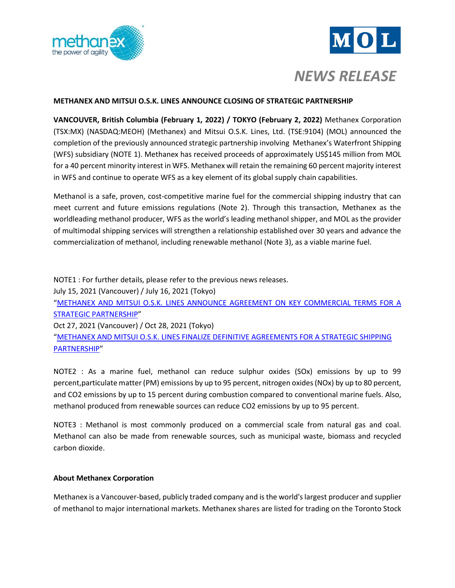



*NEWS RELEASE*

# **METHANEX AND MITSUI O.S.K. LINES ANNOUNCE CLOSING OF STRATEGIC PARTNERSHIP**

**VANCOUVER, British Columbia (February 1, 2022) / TOKYO (February 2, 2022)** Methanex Corporation (TSX:MX) (NASDAQ:MEOH) (Methanex) and Mitsui O.S.K. Lines, Ltd. (TSE:9104) (MOL) announced the completion of the previously announced strategic partnership involving Methanex's Waterfront Shipping (WFS) subsidiary (NOTE 1). Methanex has received proceeds of approximately US\$145 million from MOL for a 40 percent minority interest in WFS. Methanex will retain the remaining 60 percent majority interest in WFS and continue to operate WFS as a key element of its global supply chain capabilities.

Methanol is a safe, proven, cost-competitive marine fuel for the commercial shipping industry that can meet current and future emissions regulations (Note 2). Through this transaction, Methanex as the worldleading methanol producer, WFS as the world's leading methanol shipper, and MOL as the provider of multimodal shipping services will strengthen a relationship established over 30 years and advance the commercialization of methanol, including renewable methanol (Note 3), as a viable marine fuel.

NOTE1 : For further details, please refer to the previous news releases. July 15, 2021 (Vancouver) / July 16, 2021 (Tokyo) "[METHANEX AND MITSUI O.S.K. LINES ANNOUNCE AGREEMENT ON KEY COMMERCIAL TERMS FOR A](https://www.mol.co.jp/en/pr/2021/img/21059.pdf)  [STRATEGIC PARTNERSHIP](https://www.mol.co.jp/en/pr/2021/img/21059.pdf)" Oct 27, 2021 (Vancouver) / Oct 28, 2021 (Tokyo) "[METHANEX AND MITSUI O.S.K. LINES FINALIZE DEFINITIVE AGREEMENTS FOR A STRATEGIC SHIPPING](https://www.mol.co.jp/en/pr/2021/img/21094.pdf) [PARTNERSHIP](https://www.mol.co.jp/en/pr/2021/img/21094.pdf)"

NOTE2 : As a marine fuel, methanol can reduce sulphur oxides (SOx) emissions by up to 99 percent,particulate matter (PM) emissions by up to 95 percent, nitrogen oxides (NOx) by up to 80 percent, and CO2 emissions by up to 15 percent during combustion compared to conventional marine fuels. Also, methanol produced from renewable sources can reduce CO2 emissions by up to 95 percent.

NOTE3 : Methanol is most commonly produced on a commercial scale from natural gas and coal. Methanol can also be made from renewable sources, such as municipal waste, biomass and recycled carbon dioxide.

## **About Methanex Corporation**

Methanex is a Vancouver-based, publicly traded company and is the world's largest producer and supplier of methanol to major international markets. Methanex shares are listed for trading on the Toronto Stock